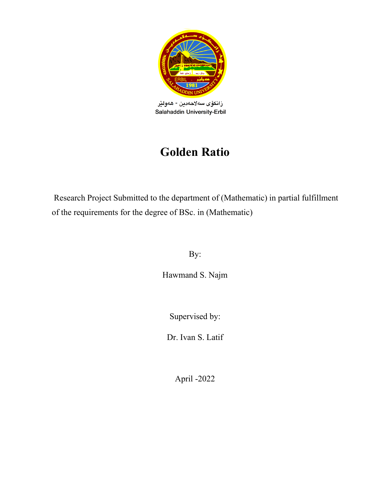<span id="page-0-0"></span>

زانكۆى سەلاھەدين - ھەولێر Salahaddin University-Erbil

# **Golden Ratio**

Research Project Submitted to the department of (Mathematic) in partial fulfillment of the requirements for the degree of BSc. in (Mathematic)

By:

Hawmand S. Najm

Supervised by:

Dr. Ivan S. Latif

April -2022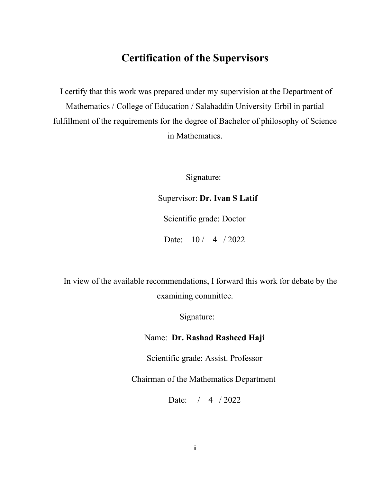## **Certification of the Supervisors**

I certify that this work was prepared under my supervision at the Department of Mathematics / College of Education / Salahaddin University-Erbil in partial fulfillment of the requirements for the degree of Bachelor of philosophy of Science in Mathematics.

Signature:

#### Supervisor: **Dr. Ivan S Latif**

Scientific grade: Doctor

Date: 10 / 4 / 2022

 In view of the available recommendations, I forward this work for debate by the examining committee.

Signature:

#### Name: **Dr. Rashad Rasheed Haji**

Scientific grade: Assist. Professor

Chairman of the Mathematics Department

Date: / 4 / 2022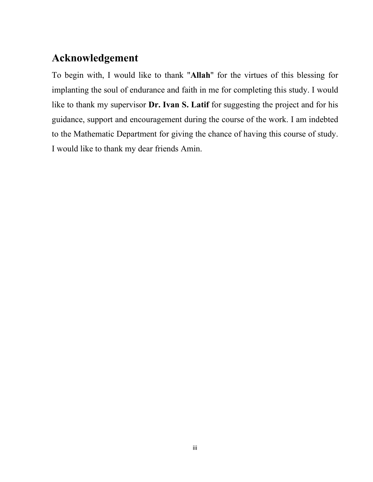## <span id="page-2-0"></span>**Acknowledgement**

To begin with, I would like to thank "**Allah**" for the virtues of this blessing for implanting the soul of endurance and faith in me for completing this study. I would like to thank my supervisor **Dr. Ivan S. Latif** for suggesting the project and for his guidance, support and encouragement during the course of the work. I am indebted to the Mathematic Department for giving the chance of having this course of study. I would like to thank my dear friends Amin.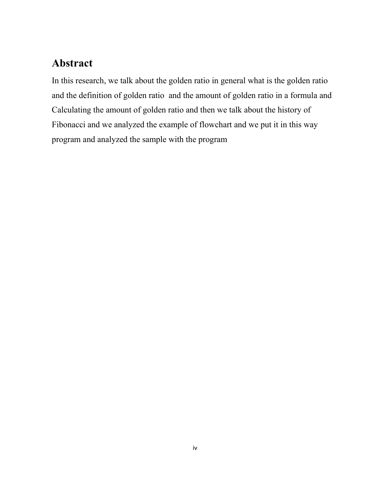## <span id="page-3-0"></span>**Abstract**

In this research, we talk about the golden ratio in general what is the golden ratio and the definition of golden ratio and the amount of golden ratio in a formula and Calculating the amount of golden ratio and then we talk about the history of Fibonacci and we analyzed the example of flowchart and we put it in this way program and analyzed the sample with the program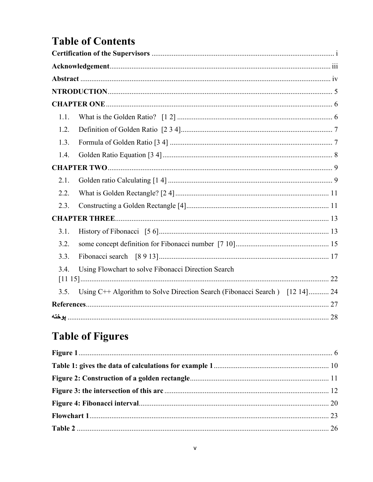# **Table of Contents**

| 1.1. |                                                                             |  |
|------|-----------------------------------------------------------------------------|--|
| 1.2. |                                                                             |  |
| 1.3. |                                                                             |  |
| 1.4. |                                                                             |  |
|      |                                                                             |  |
| 2.1. |                                                                             |  |
| 2.2. |                                                                             |  |
| 2.3. |                                                                             |  |
|      |                                                                             |  |
| 3.1. |                                                                             |  |
| 3.2. |                                                                             |  |
| 3.3. |                                                                             |  |
| 3.4. | Using Flowchart to solve Fibonacci Direction Search                         |  |
|      |                                                                             |  |
| 3.5. | Using C++ Algorithm to Solve Direction Search (Fibonacci Search) [12 14] 24 |  |
|      |                                                                             |  |
|      |                                                                             |  |

# **Table of Figures**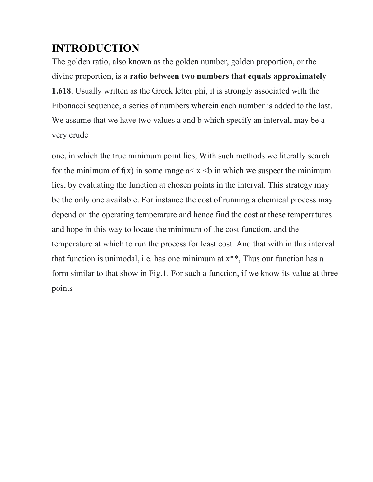## <span id="page-5-0"></span>**INTRODUCTION**

The golden ratio, also known as the golden number, golden proportion, or the divine proportion, is **a ratio between two numbers that equals approximately 1.618**. Usually written as the Greek letter phi, it is strongly associated with the Fibonacci sequence, a series of numbers wherein each number is added to the last. We assume that we have two values a and b which specify an interval, may be a very crude

one, in which the true minimum point lies, With such methods we literally search for the minimum of  $f(x)$  in some range  $a < x < b$  in which we suspect the minimum lies, by evaluating the function at chosen points in the interval. This strategy may be the only one available. For instance the cost of running a chemical process may depend on the operating temperature and hence find the cost at these temperatures and hope in this way to locate the minimum of the cost function, and the temperature at which to run the process for least cost. And that with in this interval that function is unimodal, i.e. has one minimum at  $x^{**}$ , Thus our function has a form similar to that show in Fig.1. For such a function, if we know its value at three points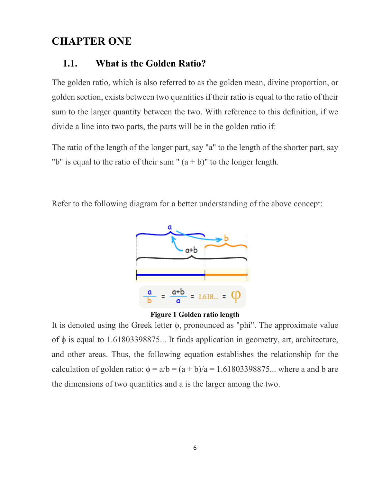## <span id="page-6-1"></span><span id="page-6-0"></span>**CHAPTER ONE**

#### **1.1. What is the Golden Ratio?**

The golden ratio, which is also referred to as the golden mean, divine proportion, or golden section, exists between two quantities if their ratio is equal to the ratio of their sum to the larger quantity between the two. With reference to this definition, if we divide a line into two parts, the parts will be in the golden ratio if:

The ratio of the length of the longer part, say "a" to the length of the shorter part, say "b" is equal to the ratio of their sum "  $(a + b)$ " to the longer length.

Refer to the following diagram for a better understanding of the above concept:





<span id="page-6-2"></span>It is denoted using the Greek letter ϕ, pronounced as "phi". The approximate value of  $\phi$  is equal to 1.61803398875... It finds application in geometry, art, architecture, and other areas. Thus, the following equation establishes the relationship for the calculation of golden ratio:  $\phi = a/b = (a + b)/a = 1.61803398875...$  where a and b are the dimensions of two quantities and a is the larger among the two.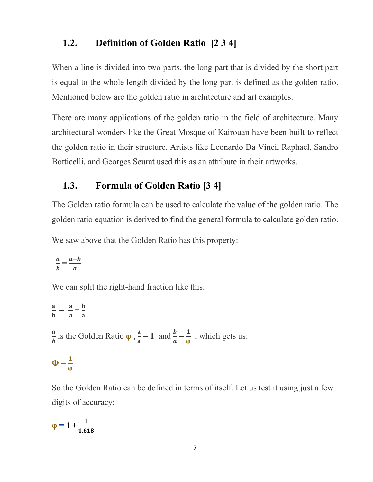## <span id="page-7-0"></span>**1.2. Definition of Golden Ratio [2 3 4]**

When a line is divided into two parts, the long part that is divided by the short part is equal to the whole length divided by the long part is defined as the golden ratio. Mentioned below are the golden ratio in architecture and art examples.

There are many applications of the golden ratio in the field of architecture. Many architectural wonders like the Great Mosque of Kairouan have been built to reflect the golden ratio in their structure. Artists like Leonardo Da Vinci, Raphael, Sandro Botticelli, and Georges Seurat used this as an attribute in their artworks.

## <span id="page-7-1"></span>**1.3. Formula of Golden Ratio [3 4]**

The Golden ratio formula can be used to calculate the value of the golden ratio. The golden ratio equation is derived to find the general formula to calculate golden ratio.

We saw above that the Golden Ratio has this property:

$$
\frac{a}{b} = \frac{a+b}{a}
$$

We can split the right-hand fraction like this:

 $\frac{a}{\sqrt{a}}$  $\frac{a}{b} = \frac{a}{a}$  $+\frac{b}{a}$ a  $\frac{a}{b}$  is the Golden Ratio  $\varphi$ ,  $\frac{a}{a}$ a  $= 1$  and  $\frac{b}{a}$  $\boldsymbol{a}$  $=$  $\frac{1}{\varphi}$ , which gets us:  $\Phi = \frac{1}{2}$ φ

So the Golden Ratio can be defined in terms of itself. Let us test it using just a few digits of accuracy:

$$
\phi=1+\frac{1}{1.618}
$$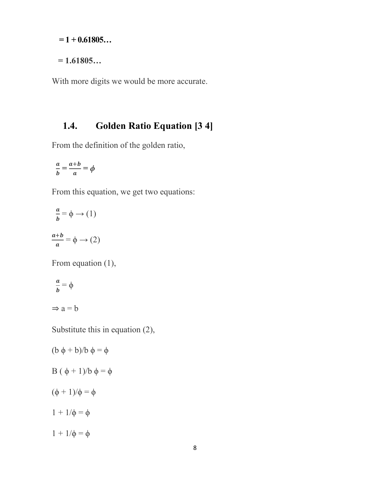**= 1 + 0.61805…**

**= 1.61805…**

With more digits we would be more accurate.

## <span id="page-8-0"></span>**1.4. Golden Ratio Equation [3 4]**

From the definition of the golden ratio,

$$
\frac{a}{b} = \frac{a+b}{a} = \phi
$$

From this equation, we get two equations:

$$
\frac{a}{b} = \phi \to (1)
$$

$$
\frac{a+b}{a} = \phi \to (2)
$$

From equation (1),

$$
\frac{a}{b} = \phi
$$
  

$$
\Rightarrow a = b
$$

Substitute this in equation (2),

$$
(b \phi + b)/b \phi = \phi
$$
  
B  $( \phi + 1)/b \phi = \phi$   
 $( \phi + 1)/\phi = \phi$   
 $1 + 1/\phi = \phi$   
 $1 + 1/\phi = \phi$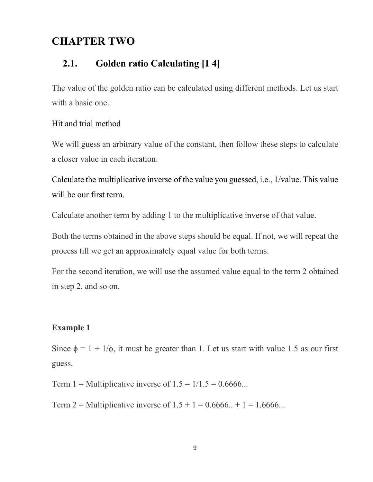## <span id="page-9-0"></span>**CHAPTER TWO**

## <span id="page-9-1"></span>**2.1. Golden ratio Calculating [1 4]**

The value of the golden ratio can be calculated using different methods. Let us start with a basic one.

#### Hit and trial method

We will guess an arbitrary value of the constant, then follow these steps to calculate a closer value in each iteration.

Calculate the multiplicative inverse of the value you guessed, i.e., 1/value. This value will be our first term.

Calculate another term by adding 1 to the multiplicative inverse of that value.

Both the terms obtained in the above steps should be equal. If not, we will repeat the process till we get an approximately equal value for both terms.

For the second iteration, we will use the assumed value equal to the term 2 obtained in step 2, and so on.

#### **Example 1**

Since  $\phi = 1 + 1/\phi$ , it must be greater than 1. Let us start with value 1.5 as our first guess.

Term 1 = Multiplicative inverse of  $1.5 = 1/1.5 = 0.6666...$ 

Term 2 = Multiplicative inverse of  $1.5 + 1 = 0.6666... + 1 = 1.6666...$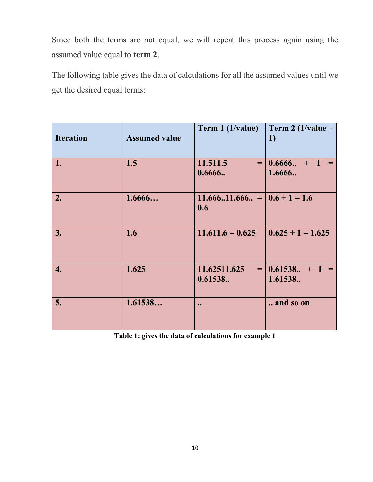Since both the terms are not equal, we will repeat this process again using the assumed value equal to **term 2**.

The following table gives the data of calculations for all the assumed values until we get the desired equal terms:

| <b>Iteration</b> | <b>Assumed value</b> | Term 1 (1/value)                        | Term 2 (1/value +<br>1)      |
|------------------|----------------------|-----------------------------------------|------------------------------|
| 1.               | 1.5                  | 11.511.5<br>0.6666                      | $=$ 0.6666 + 1 =<br>1.6666.  |
| 2.               | 1.6666               | $11.66611.666 =   0.6 + 1 = 1.6$<br>0.6 |                              |
| 3.               | 1.6                  | $11.611.6 = 0.625$                      | $0.625 + 1 = 1.625$          |
| 4.               | 1.625                | 11.62511.625<br>0.61538                 | $=$ 0.61538 + 1 =<br>1.61538 |
| 5.               | 1.61538              | $\bullet \bullet$                       | and so on                    |

<span id="page-10-0"></span>**Table 1: gives the data of calculations for example 1**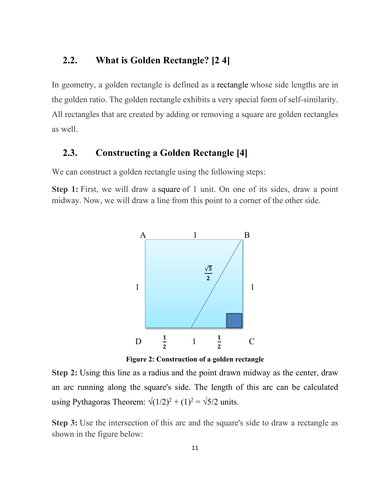### <span id="page-11-0"></span>**2.2. What is Golden Rectangle? [2 4]**

In geometry, a golden rectangle is defined as a rectangle whose side lengths are in the golden ratio. The golden rectangle exhibits a very special form of self-similarity. All rectangles that are created by adding or removing a square are golden rectangles as well.

### <span id="page-11-1"></span>**2.3. Constructing a Golden Rectangle [4]**

We can construct a golden rectangle using the following steps:

**Step 1:** First, we will draw a square of 1 unit. On one of its sides, draw a point midway. Now, we will draw a line from this point to a corner of the other side.



**Figure 2: Construction of a golden rectangle** 

<span id="page-11-2"></span>**Step 2:** Using this line as a radius and the point drawn midway as the center, draw an arc running along the square's side. The length of this arc can be calculated using [Pythagoras](https://www.cuemath.com/geometry/pythagoras-theorem/) Theorem:  $\sqrt{(1/2)^2 + (1)^2} = \sqrt{5/2}$  units.

**Step 3:** Use the intersection of this arc and the square's side to draw a rectangle as shown in the figure below: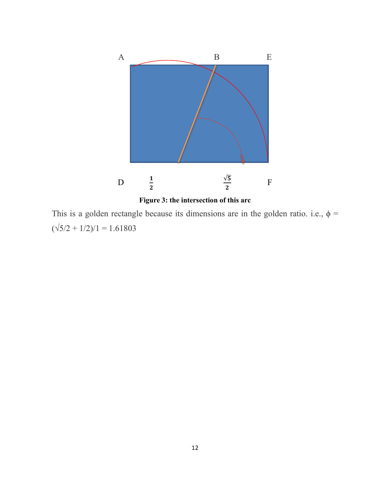

<span id="page-12-0"></span>This is a golden rectangle because its dimensions are in the golden ratio. i.e.,  $\phi$  =

 $(\sqrt{5}/2 + 1/2)/1 = 1.61803$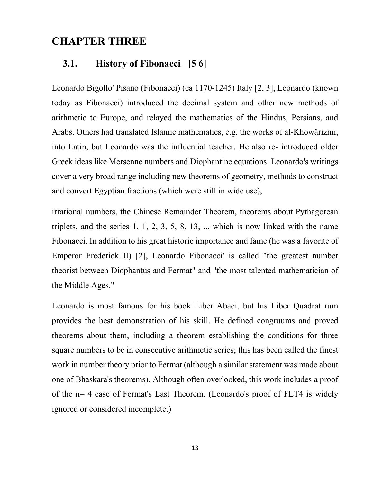## <span id="page-13-0"></span>**CHAPTER THREE**

#### <span id="page-13-1"></span>**3.1. History of Fibonacci [5 6]**

Leonardo Bigollo' Pisano (Fibonacci) (ca 1170-1245) Italy [2, 3], Leonardo (known today as Fibonacci) introduced the decimal system and other new methods of arithmetic to Europe, and relayed the mathematics of the Hindus, Persians, and Arabs. Others had translated Islamic mathematics, e.g. the works of al-Khowârizmi, into Latin, but Leonardo was the influential teacher. He also re- introduced older Greek ideas like Mersenne numbers and Diophantine equations. Leonardo's writings cover a very broad range including new theorems of geometry, methods to construct and convert Egyptian fractions (which were still in wide use),

irrational numbers, the Chinese Remainder Theorem, theorems about Pythagorean triplets, and the series 1, 1, 2, 3, 5, 8, 13, ... which is now linked with the name Fibonacci. In addition to his great historic importance and fame (he was a favorite of Emperor Frederick II) [2], Leonardo Fibonacci' is called "the greatest number theorist between Diophantus and Fermat" and "the most talented mathematician of the Middle Ages."

Leonardo is most famous for his book Liber Abaci, but his Liber Quadrat rum provides the best demonstration of his skill. He defined congruums and proved theorems about them, including a theorem establishing the conditions for three square numbers to be in consecutive arithmetic series; this has been called the finest work in number theory prior to Fermat (although a similar statement was made about one of Bhaskara's theorems). Although often overlooked, this work includes a proof of the n= 4 case of Fermat's Last Theorem. (Leonardo's proof of FLT4 is widely ignored or considered incomplete.)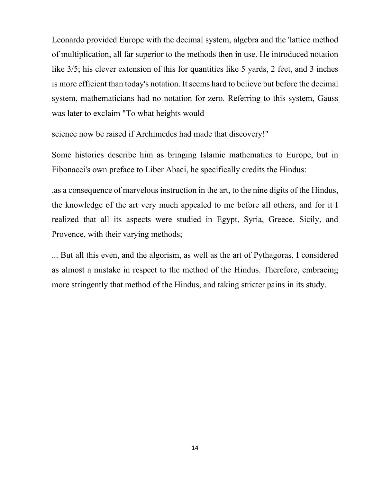Leonardo provided Europe with the decimal system, algebra and the 'lattice method of multiplication, all far superior to the methods then in use. He introduced notation like  $3/5$ ; his clever extension of this for quantities like 5 yards, 2 feet, and 3 inches is more efficient than today's notation. It seems hard to believe but before the decimal system, mathematicians had no notation for zero. Referring to this system, Gauss was later to exclaim "To what heights would

science now be raised if Archimedes had made that discovery!"

Some histories describe him as bringing Islamic mathematics to Europe, but in Fibonacci's own preface to Liber Abaci, he specifically credits the Hindus:

.as a consequence of marvelous instruction in the art, to the nine digits of the Hindus, the knowledge of the art very much appealed to me before all others, and for it I realized that all its aspects were studied in Egypt, Syria, Greece, Sicily, and Provence, with their varying methods;

... But all this even, and the algorism, as well as the art of Pythagoras, I considered as almost a mistake in respect to the method of the Hindus. Therefore, embracing more stringently that method of the Hindus, and taking stricter pains in its study.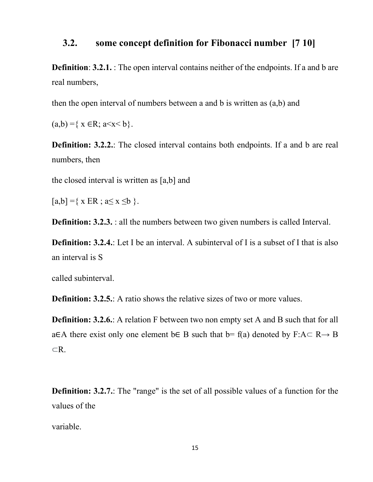### <span id="page-15-0"></span>**3.2. some concept definition for Fibonacci number [7 10]**

**Definition: 3.2.1.** : The open interval contains neither of the endpoints. If a and b are real numbers,

then the open interval of numbers between a and b is written as (a,b) and

 $(a,b) = \{ x \in \mathbb{R} : a \le x \le b \}.$ 

**Definition: 3.2.2.**: The closed interval contains both endpoints. If a and b are real numbers, then

the closed interval is written as [a,b] and

 $[a,b] = \{ x ER ; a \le x \le b \}.$ 

**Definition: 3.2.3.** : all the numbers between two given numbers is called Interval.

**Definition: 3.2.4.**: Let I be an interval. A subinterval of I is a subset of I that is also an interval is S

called subinterval.

**Definition: 3.2.5.**: A ratio shows the relative sizes of two or more values.

**Definition: 3.2.6.**: A relation F between two non empty set A and B such that for all a∈A there exist only one element b∈ B such that b= f(a) denoted by F:A⊂ R**→** B ⊂R.

**Definition: 3.2.7.**: The "range" is the set of all possible values of a function for the values of the

variable.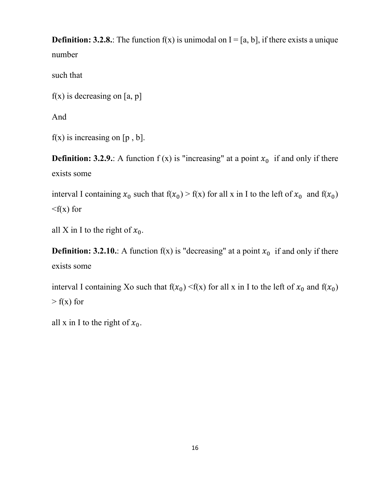**Definition: 3.2.8.**: The function  $f(x)$  is unimodal on  $I = [a, b]$ , if there exists a unique number

such that

 $f(x)$  is decreasing on [a, p]

And

 $f(x)$  is increasing on [p, b].

**Definition: 3.2.9.**: A function  $f(x)$  is "increasing" at a point  $x_0$  if and only if there exists some

interval I containing  $x_0$  such that  $f(x_0) > f(x)$  for all x in I to the left of  $x_0$  and  $f(x_0)$  $\langle f(x)$  for

all X in I to the right of  $x_0$ .

**Definition: 3.2.10.**: A function  $f(x)$  is "decreasing" at a point  $x_0$  if and only if there exists some

interval I containing Xo such that  $f(x_0) < f(x)$  for all x in I to the left of  $x_0$  and  $f(x_0)$  $> f(x)$  for

all x in I to the right of  $x_0$ .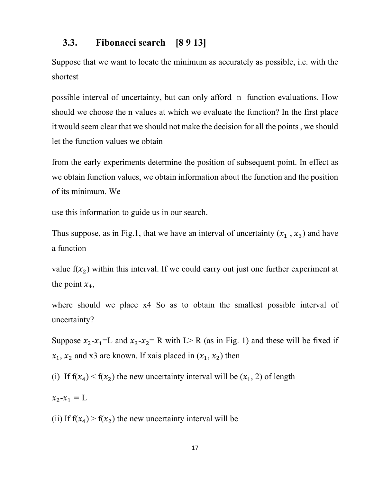### <span id="page-17-0"></span>**3.3. Fibonacci search [8 9 13]**

Suppose that we want to locate the minimum as accurately as possible, i.e. with the shortest

possible interval of uncertainty, but can only afford n function evaluations. How should we choose the n values at which we evaluate the function? In the first place it would seem clear that we should not make the decision for all the points , we should let the function values we obtain

from the early experiments determine the position of subsequent point. In effect as we obtain function values, we obtain information about the function and the position of its minimum. We

use this information to guide us in our search.

Thus suppose, as in Fig.1, that we have an interval of uncertainty  $(x_1, x_3)$  and have a function

value  $f(x_2)$  within this interval. If we could carry out just one further experiment at the point  $x_4$ ,

where should we place x4 So as to obtain the smallest possible interval of uncertainty?

Suppose  $x_2-x_1=L$  and  $x_3-x_2=R$  with L> R (as in Fig. 1) and these will be fixed if  $x_1, x_2$  and x3 are known. If xais placed in  $(x_1, x_2)$  then

(i) If  $f(x_4) < f(x_2)$  the new uncertainty interval will be  $(x_1, 2)$  of length

$$
x_2 - x_1 = L
$$

(ii) If  $f(x_4) > f(x_2)$  the new uncertainty interval will be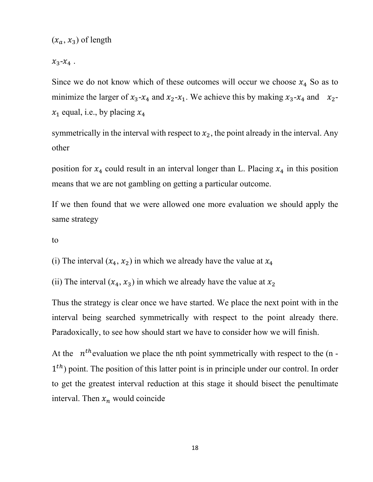$(x_a, x_3)$  of length

 $x_3-x_4$ .

Since we do not know which of these outcomes will occur we choose  $x_4$  So as to minimize the larger of  $x_3-x_4$  and  $x_2-x_1$ . We achieve this by making  $x_3-x_4$  and  $x_2$  $x_1$  equal, i.e., by placing  $x_4$ 

symmetrically in the interval with respect to  $x_2$ , the point already in the interval. Any other

position for  $x_4$  could result in an interval longer than L. Placing  $x_4$  in this position means that we are not gambling on getting a particular outcome.

If we then found that we were allowed one more evaluation we should apply the same strategy

to

(i) The interval  $(x_4, x_2)$  in which we already have the value at  $x_4$ 

(ii) The interval  $(x_4, x_3)$  in which we already have the value at  $x_2$ 

Thus the strategy is clear once we have started. We place the next point with in the interval being searched symmetrically with respect to the point already there. Paradoxically, to see how should start we have to consider how we will finish.

At the  $n<sup>th</sup>$  evaluation we place the nth point symmetrically with respect to the (n - $1<sup>th</sup>$ ) point. The position of this latter point is in principle under our control. In order to get the greatest interval reduction at this stage it should bisect the penultimate interval. Then  $x_n$  would coincide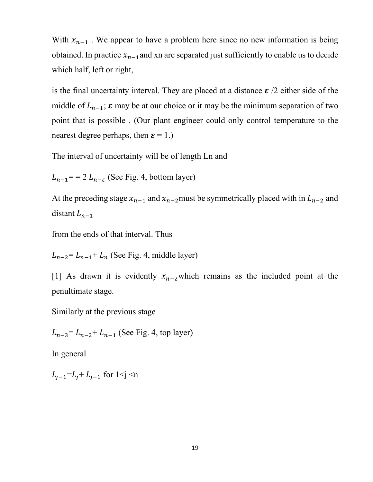With  $x_{n-1}$ . We appear to have a problem here since no new information is being obtained. In practice  $x_{n-1}$  and xn are separated just sufficiently to enable us to decide which half, left or right,

is the final uncertainty interval. They are placed at a distance  $\epsilon$  /2 either side of the middle of  $L_{n-1}$ ;  $\varepsilon$  may be at our choice or it may be the minimum separation of two point that is possible . (Our plant engineer could only control temperature to the nearest degree perhaps, then  $\boldsymbol{\varepsilon} = 1$ .)

The interval of uncertainty will be of length Ln and

 $L_{n-1}$ = = 2  $L_{n-\epsilon}$  (See Fig. 4, bottom layer)

At the preceding stage  $x_{n-1}$  and  $x_{n-2}$  must be symmetrically placed with in  $L_{n-2}$  and distant  $L_{n-1}$ 

from the ends of that interval. Thus

 $L_{n-2} = L_{n-1} + L_n$  (See Fig. 4, middle layer)

[1] As drawn it is evidently  $x_{n-2}$ which remains as the included point at the penultimate stage.

Similarly at the previous stage

 $L_{n-3} = L_{n-2} + L_{n-1}$  (See Fig. 4, top layer)

In general

 $L_{i-1} = L_i + L_{i-1}$  for  $1 \le j \le n$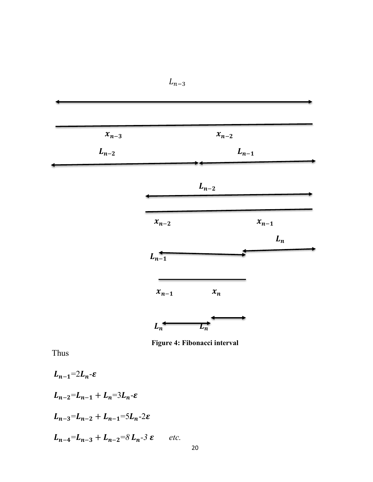| $x_{n-3}$ |           | $x_{n-2}$ |           |  |
|-----------|-----------|-----------|-----------|--|
| $L_{n-2}$ |           | $L_{n-1}$ |           |  |
|           |           | $L_{n-2}$ |           |  |
|           | $x_{n-2}$ |           | $x_{n-1}$ |  |
|           | $L_{n-1}$ |           | $L_n$     |  |
|           |           |           |           |  |
|           | $x_{n-1}$ | $x_n$     |           |  |

 $L_{n-3}$ 

**Figure 4: Fibonacci interval**

<span id="page-20-0"></span>Thus

$$
L_{n-1}=2L_{n}-\varepsilon
$$
  
\n
$$
L_{n-2}=L_{n-1}+L_{n}=3L_{n}-\varepsilon
$$
  
\n
$$
L_{n-3}=L_{n-2}+L_{n-1}=5L_{n}-2\varepsilon
$$
  
\n
$$
L_{n-4}=L_{n-3}+L_{n-2}=8L_{n}-3\varepsilon
$$
 etc.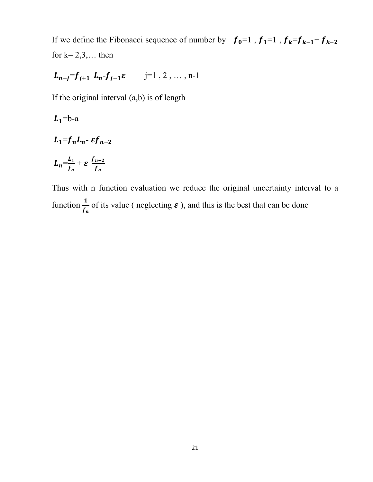If we define the Fibonacci sequence of number by  $f_0=1$ ,  $f_1=1$ ,  $f_k=f_{k-1}+f_{k-2}$ for  $k= 2,3,...$  then

$$
L_{n-j}=f_{j+1} L_n-f_{j-1}\varepsilon
$$
   
 j=1, 2, ..., n-1

If the original interval (a,b) is of length

$$
L_1 = b-a
$$

$$
L_1 = f_n L_n - \varepsilon f_{n-2}
$$

$$
L_n = \frac{L_1}{f_n} + \varepsilon \frac{f_{n-2}}{f_n}
$$

Thus with n function evaluation we reduce the original uncertainty interval to a function  $\frac{1}{f}$  $\frac{1}{f_n}$  of its value ( neglecting  $\varepsilon$  ), and this is the best that can be done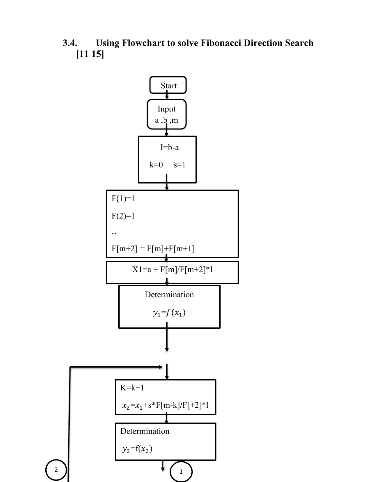<span id="page-22-0"></span>**3.4. Using Flowchart to solve Fibonacci Direction Search [11 15]** 

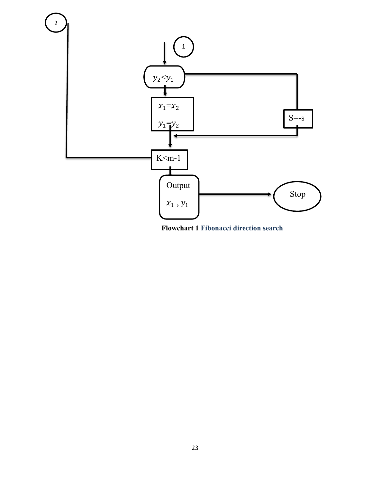

<span id="page-23-0"></span>**Flowchart 1 Fibonacci direction search**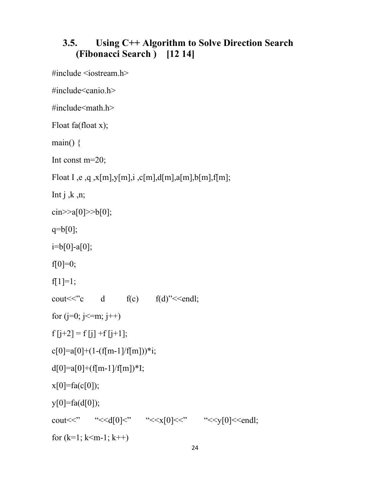## <span id="page-24-0"></span>**3.5. Using C++ Algorithm to Solve Direction Search (Fibonacci Search ) [12 14]**

#include <iostream.h>

#include<canio.h>

 $\#$ include $\leq$ math.h $>$ 

Float fa(float x);

main()  $\{$ 

Int const m=20;

Float I ,e ,q ,x[m],y[m],i ,c[m],d[m],a[m],b[m],f[m];

Int  $j, k, n;$ 

 $\text{cin}>>a[0]>>b[0];$ 

 $q=b[0];$ 

 $i=b[0]-a[0];$ 

f[0]=0;

f[1]=1;

```
cout \langle \langle \cdot \rangle^{\circ} cout \langle \cdot \rangle d f(c) f(d)" \langle \cdot \rangle f(d)"
```

```
for (j=0; j<=m; j++)
```

```
f[j+2] = f[j] + f[j+1];
```

```
c[0]=a[0]+(1-(f[m-1]/f[m]))*i;
```
 $d[0]=a[0]+(f[m-1]/f[m])^*I;$ 

 $x[0]=fa(c[0]);$ 

 $y[0]=fa(d[0]);$ 

cout <<"  $``< <"  $``< <<<"  $``< <<endl;$$$ for  $(k=1; k\leq m-1; k++)$ 

24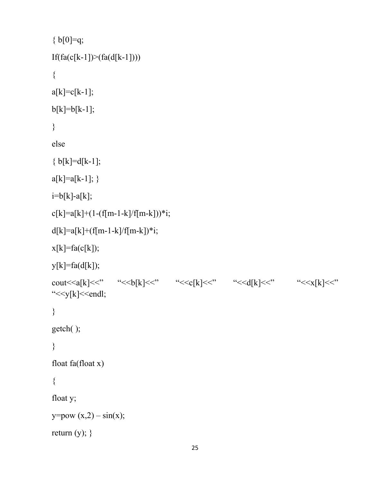```
{b[0]=q;}If(fa(c[k-1])>(fa(d[k-1]))){
a[k]=c[k-1];b[k]=b[k-1];
}
else
{b[k]=d[k-1]};a[k]=a[k-1];}
i=b[k]-a[k];c[k]=a[k]+(1-(f[m-1-k]/f[m-k]))*i;d[k]=a[k]+(f[m-1-k]/f[m-k])^*i;x[k]=fa(c[k]);
y[k]=fa(d[k]);
cout << a[k] << " \le " \le \ellarmoviduals \ellarmoviduals \ellarmoviduals \ellarmoviduals \ellarmoviduals \ellarmoviduals \ellarmoviduals \ellarmoviduals \ellarmoviduals \ellarmoviduals \ellarmoviduals \ellarmoviduals
"<<y[k]<<endl;
}
getch( );
}
float fa(float x)
{
float y;
y = pow (x,2) - sin(x);return (y); }
```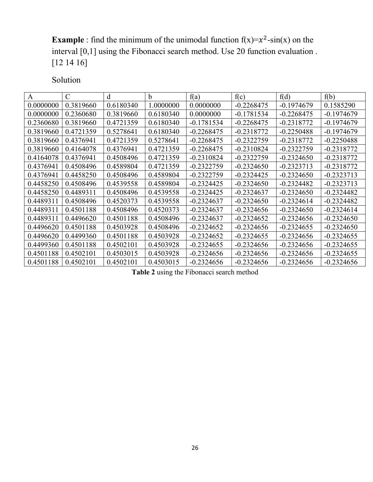**Example**: find the minimum of the unimodal function  $f(x)=x^2-sin(x)$  on the interval [0,1] using the Fibonacci search method. Use 20 function evaluation . [12 14 16]

Solution

| $\mathsf{A}$ | C         | d         | b         | f(a)         | f(c)         | f(d)         | f(b)         |
|--------------|-----------|-----------|-----------|--------------|--------------|--------------|--------------|
| 0.0000000    | 0.3819660 | 0.6180340 | 1.0000000 | 0.0000000    | $-0.2268475$ | $-0.1974679$ | 0.1585290    |
| 0.0000000    | 0.2360680 | 0.3819660 | 0.6180340 | 0.0000000    | $-0.1781534$ | $-0.2268475$ | -0.1974679   |
| 0.2360680    | 0.3819660 | 0.4721359 | 0.6180340 | $-0.1781534$ | $-0.2268475$ | $-0.2318772$ | $-0.1974679$ |
| 0.3819660    | 0.4721359 | 0.5278641 | 0.6180340 | $-0.2268475$ | $-0.2318772$ | $-0.2250488$ | $-0.1974679$ |
| 0.3819660    | 0.4376941 | 0.4721359 | 0.5278641 | $-0.2268475$ | $-0.2322759$ | $-0.2318772$ | $-0.2250488$ |
| 0.3819660    | 0.4164078 | 0.4376941 | 0.4721359 | $-0.2268475$ | $-0.2310824$ | $-0.2322759$ | $-0.2318772$ |
| 0.4164078    | 0.4376941 | 0.4508496 | 0.4721359 | $-0.2310824$ | $-0.2322759$ | $-0.2324650$ | $-0.2318772$ |
| 0.4376941    | 0.4508496 | 0.4589804 | 0.4721359 | $-0.2322759$ | $-0.2324650$ | $-0.2323713$ | $-0.2318772$ |
| 0.4376941    | 0.4458250 | 0.4508496 | 0.4589804 | $-0.2322759$ | $-0.2324425$ | $-0.2324650$ | $-0.2323713$ |
| 0.4458250    | 0.4508496 | 0.4539558 | 0.4589804 | $-0.2324425$ | $-0.2324650$ | $-0.2324482$ | $-0.2323713$ |
| 0.4458250    | 0.4489311 | 0.4508496 | 0.4539558 | $-0.2324425$ | $-0.2324637$ | $-0.2324650$ | $-0.2324482$ |
| 0.4489311    | 0.4508496 | 0.4520373 | 0.4539558 | $-0.2324637$ | $-0.2324650$ | $-0.2324614$ | $-0.2324482$ |
| 0.4489311    | 0.4501188 | 0.4508496 | 0.4520373 | $-0.2324637$ | $-0.2324656$ | $-0.2324650$ | $-0.2324614$ |
| 0.4489311    | 0.4496620 | 0.4501188 | 0.4508496 | $-0.2324637$ | $-0.2324652$ | $-0.2324656$ | $-0.2324650$ |
| 0.4496620    | 0.4501188 | 0.4503928 | 0.4508496 | $-0.2324652$ | $-0.2324656$ | $-0.2324655$ | $-0.2324650$ |
| 0.4496620    | 0.4499360 | 0.4501188 | 0.4503928 | $-0.2324652$ | $-0.2324655$ | $-0.2324656$ | $-0.2324655$ |
| 0.4499360    | 0.4501188 | 0.4502101 | 0.4503928 | $-0.2324655$ | $-0.2324656$ | $-0.2324656$ | $-0.2324655$ |
| 0.4501188    | 0.4502101 | 0.4503015 | 0.4503928 | $-0.2324656$ | $-0.2324656$ | $-0.2324656$ | $-0.2324655$ |
| 0.4501188    | 0.4502101 | 0.4502101 | 0.4503015 | $-0.2324656$ | $-0.2324656$ | $-0.2324656$ | $-0.2324656$ |

<span id="page-26-0"></span>**Table 2** using the Fibonacci search method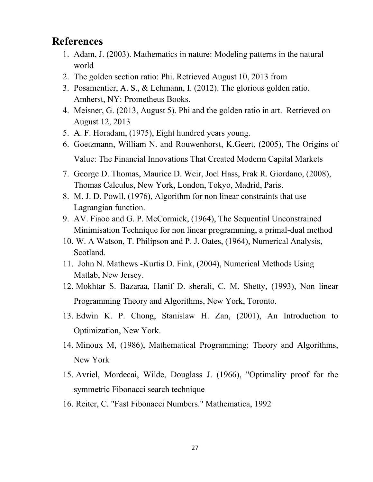## <span id="page-27-0"></span>**References**

- 1. Adam, J. (2003). Mathematics in nature: Modeling patterns in the natural world
- 2. The golden section ratio: Phi. Retrieved August 10, 2013 from
- 3. Posamentier, A. S., & Lehmann, I. (2012). The glorious golden ratio. Amherst, NY: Prometheus Books.
- 4. Meisner, G. (2013, August 5). Phi and the golden ratio in art. Retrieved on August 12, 2013
- 5. A. F. Horadam, (1975), Eight hundred years young.
- 6. Goetzmann, William N. and Rouwenhorst, K.Geert, (2005), The Origins of Value: The Financial Innovations That Created Moderm Capital Markets
- 7. George D. Thomas, Maurice D. Weir, Joel Hass, Frak R. Giordano, (2008), Thomas Calculus, New York, London, Tokyo, Madrid, Paris.
- 8. M. J. D. Powll, (1976), Algorithm for non linear constraints that use Lagrangian function.
- 9. AV. Fiaoo and G. P. McCormick, (1964), The Sequential Unconstrained Minimisation Technique for non linear programming, a primal-dual method
- 10. W. A Watson, T. Philipson and P. J. Oates, (1964), Numerical Analysis, Scotland.
- 11. John N. Mathews -Kurtis D. Fink, (2004), Numerical Methods Using Matlab, New Jersey.
- 12. Mokhtar S. Bazaraa, Hanif D. sherali, C. M. Shetty, (1993), Non linear Programming Theory and Algorithms, New York, Toronto.
- 13. Edwin K. P. Chong, Stanislaw H. Zan, (2001), An Introduction to Optimization, New York.
- 14. Minoux M, (1986), Mathematical Programming; Theory and Algorithms, New York
- 15. Avriel, Mordecai, Wilde, Douglass J. (1966), "Optimality proof for the symmetric Fibonacci search technique
- 16. Reiter, C. "Fast Fibonacci Numbers." Mathematica, 1992